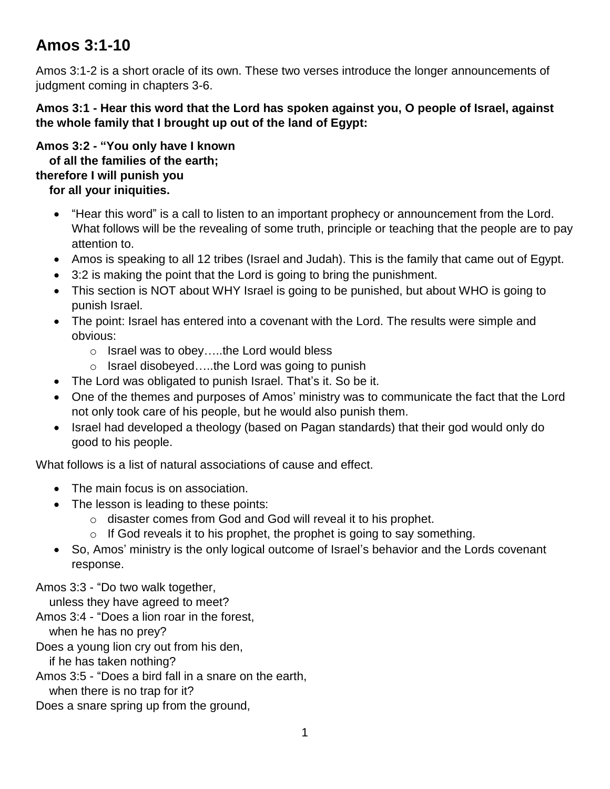## **Amos 3:1-10**

Amos 3:1-2 is a short oracle of its own. These two verses introduce the longer announcements of judgment coming in chapters 3-6.

**Amos 3:1 - Hear this word that the Lord has spoken against you, O people of Israel, against the whole family that I brought up out of the land of Egypt:**

**Amos 3:2 - "You only have I known of all the families of the earth; therefore I will punish you**

## **for all your iniquities.**

- "Hear this word" is a call to listen to an important prophecy or announcement from the Lord. What follows will be the revealing of some truth, principle or teaching that the people are to pay attention to.
- Amos is speaking to all 12 tribes (Israel and Judah). This is the family that came out of Egypt.
- 3:2 is making the point that the Lord is going to bring the punishment.
- This section is NOT about WHY Israel is going to be punished, but about WHO is going to punish Israel.
- The point: Israel has entered into a covenant with the Lord. The results were simple and obvious:
	- o Israel was to obey…..the Lord would bless
	- o Israel disobeyed…..the Lord was going to punish
- The Lord was obligated to punish Israel. That's it. So be it.
- One of the themes and purposes of Amos' ministry was to communicate the fact that the Lord not only took care of his people, but he would also punish them.
- Israel had developed a theology (based on Pagan standards) that their god would only do good to his people.

What follows is a list of natural associations of cause and effect.

- The main focus is on association.
- The lesson is leading to these points:
	- o disaster comes from God and God will reveal it to his prophet.
	- $\circ$  If God reveals it to his prophet, the prophet is going to say something.
- So, Amos' ministry is the only logical outcome of Israel's behavior and the Lords covenant response.

Amos 3:3 - "Do two walk together,

unless they have agreed to meet?

Amos 3:4 - "Does a lion roar in the forest,

when he has no prey?

Does a young lion cry out from his den,

if he has taken nothing?

Amos 3:5 - "Does a bird fall in a snare on the earth,

when there is no trap for it?

Does a snare spring up from the ground,